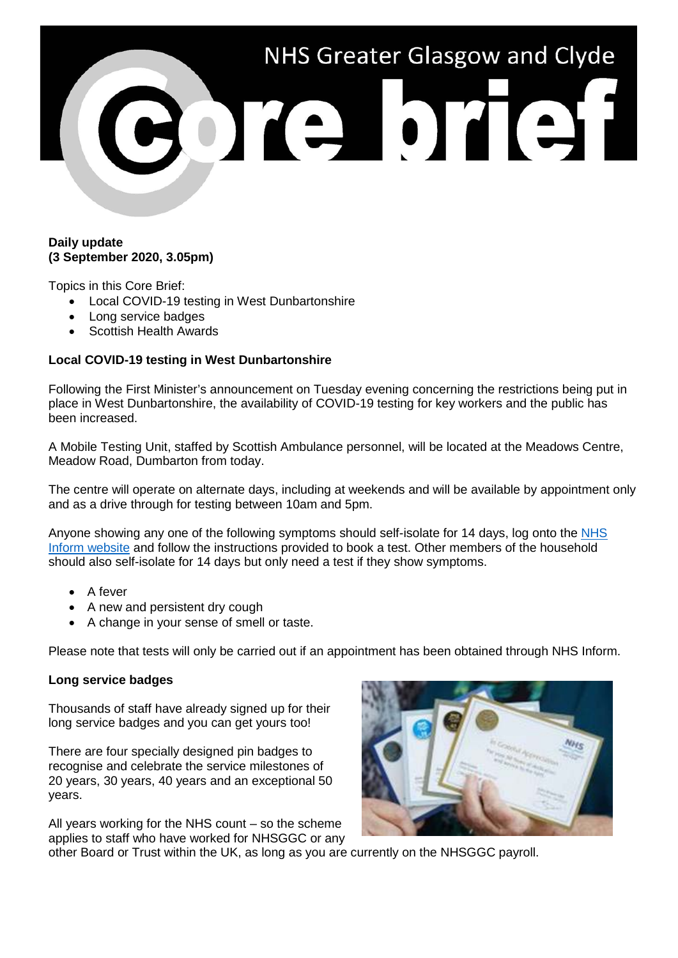

## **Daily update (3 September 2020, 3.05pm)**

Topics in this Core Brief:

- Local COVID-19 testing in West Dunbartonshire
- Long service badges
- Scottish Health Awards

## **Local COVID-19 testing in West Dunbartonshire**

Following the First Minister's announcement on Tuesday evening concerning the restrictions being put in place in West Dunbartonshire, the availability of COVID-19 testing for key workers and the public has been increased.

A Mobile Testing Unit, staffed by Scottish Ambulance personnel, will be located at the Meadows Centre, Meadow Road, Dumbarton from today.

The centre will operate on alternate days, including at weekends and will be available by appointment only and as a drive through for testing between 10am and 5pm.

Anyone showing any one of the following symptoms should self-isolate for 14 days, log onto the [NHS](https://www.nhsinform.scot/campaigns/test-and-protect)  [Inform website](https://www.nhsinform.scot/campaigns/test-and-protect) and follow the instructions provided to book a test. Other members of the household should also self-isolate for 14 days but only need a test if they show symptoms.

- A fever
- A new and persistent dry cough
- A change in your sense of smell or taste.

Please note that tests will only be carried out if an appointment has been obtained through NHS Inform.

## **Long service badges**

Thousands of staff have already signed up for their long service badges and you can get yours too!

There are four specially designed pin badges to recognise and celebrate the service milestones of 20 years, 30 years, 40 years and an exceptional 50 years.

All years working for the NHS count – so the scheme applies to staff who have worked for NHSGGC or any



other Board or Trust within the UK, as long as you are currently on the NHSGGC payroll.